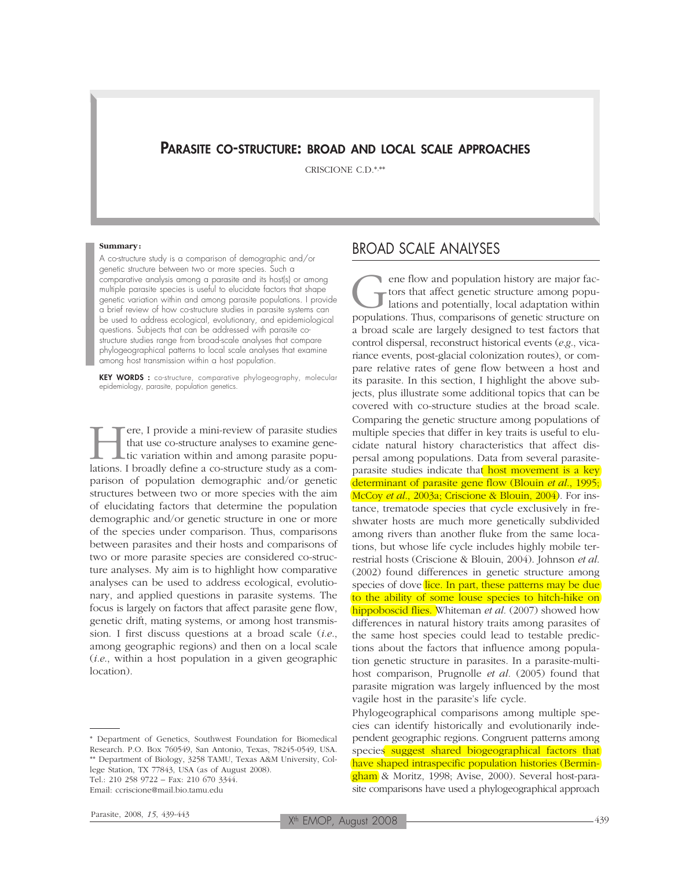### PARASITE CO-STRUCTURE: BROAD AND LOCAL SCALE APPROACHES

CRISCIONE C.D.\*, \*\*

#### **Summary:**

A co-structure study is a comparison of demographic and/or genetic structure between two or more species. Such a comparative analysis among a parasite and its host(s) or among multiple parasite species is useful to elucidate factors that shape genetic variation within and among parasite populations. I provide a brief review of how co-structure studies in parasite systems can be used to address ecological, evolutionary, and epidemiological questions. Subjects that can be addressed with parasite costructure studies range from broad-scale analyses that compare phylogeographical patterns to local scale analyses that examine among host transmission within a host population.

KEY WORDS : co-structure, comparative phylogeography, molecular epidemiology, parasite, population genetics.

ere, I provide a mini-review of parasite studies that use co-structure analyses to examine gene-**L** tic variation within and among parasite populations. I broadly define a co-structure study as a comparison of population demographic and/or genetic structures between two or more species with the aim of elucidating factors that determine the population demographic and/or genetic structure in one or more of the species under comparison. Thus, comparisons between parasites and their hosts and comparisons of two or more parasite species are considered co-structure analyses. My aim is to highlight how comparative analyses can be used to address ecological, evolutionary, and applied questions in parasite systems. The focus is largely on factors that affect parasite gene flow, genetic drift, mating systems, or among host transmission. I first discuss questions at a broad scale (*i.e*., among geographic regions) and then on a local scale (*i.e*., within a host population in a given geographic location).

# BROAD SCALE ANALYSES

ene flow and population history are major factors that affect genetic structure among populations and potentially, local adaptation within populations. Thus, comparisons of genetic structure on a broad scale are largely designed to test factors that control dispersal, reconstruct historical events (*e.g*., vicariance events, post-glacial colonization routes), or compare relative rates of gene flow between a host and its parasite. In this section, I highlight the above subjects, plus illustrate some additional topics that can be covered with co-structure studies at the broad scale. Comparing the genetic structure among populations of multiple species that differ in key traits is useful to elucidate natural history characteristics that affect dispersal among populations. Data from several parasiteparasite studies indicate that host movement is a key determinant of parasite gene flow (Blouin *et al*., 1995; McCoy *et al*., 2003a; Criscione & Blouin, 2004). For instance, trematode species that cycle exclusively in freshwater hosts are much more genetically subdivided among rivers than another fluke from the same locations, but whose life cycle includes highly mobile terrestrial hosts (Criscione & Blouin, 2004). Johnson *et al*. (2002) found differences in genetic structure among species of dove lice. In part, these patterns may be due to the ability of some louse species to hitch-hike on hippoboscid flies. Whiteman *et al.* (2007) showed how differences in natural history traits among parasites of the same host species could lead to testable predictions about the factors that influence among population genetic structure in parasites. In a parasite-multihost comparison, Prugnolle *et al.* (2005) found that parasite migration was largely influenced by the most vagile host in the parasite's life cycle.

Phylogeographical comparisons among multiple species can identify historically and evolutionarily independent geographic regions. Congruent patterns among species suggest shared biogeographical factors that have shaped intraspecific population histories (Bermingham & Moritz, 1998; Avise, 2000). Several host-parasite comparisons have used a phylogeographical approach

<sup>\*</sup> Department of Genetics, Southwest Foundation for Biomedical Research. P.O. Box 760549, San Antonio, Texas, 78245-0549, USA. \*\* Department of Biology, 3258 TAMU, Texas A&M University, College Station, TX 77843, USA (as of August 2008). Tel.: 210 258 9722 – Fax: 210 670 3344. Email: ccriscione@mail.bio.tamu.edu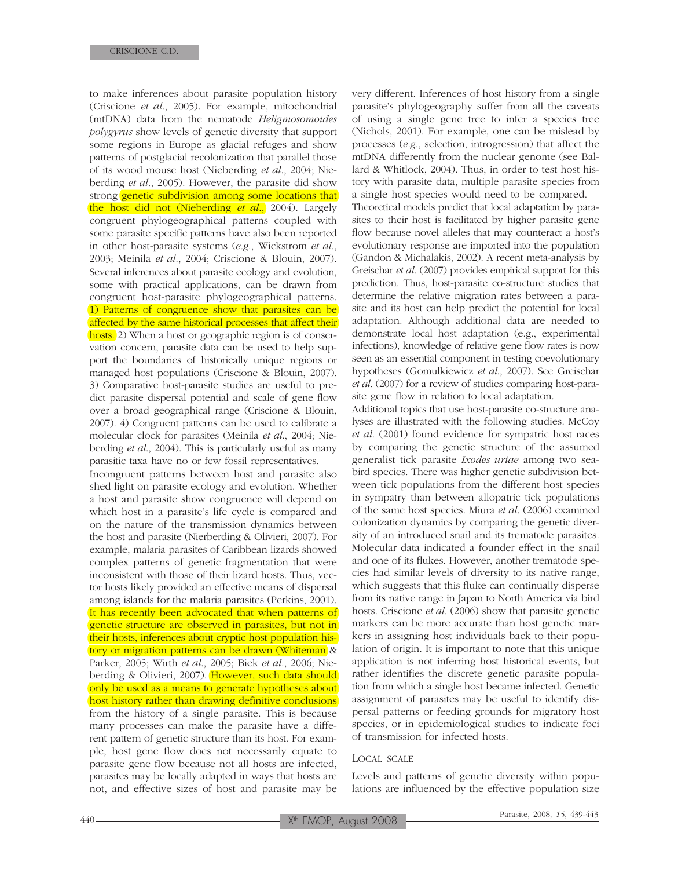to make inferences about parasite population history (Criscione *et al*., 2005). For example, mitochondrial (mtDNA) data from the nematode *Heligmosomoides polygyrus* show levels of genetic diversity that support some regions in Europe as glacial refuges and show patterns of postglacial recolonization that parallel those of its wood mouse host (Nieberding *et al*., 2004; Nieberding *et al*., 2005). However, the parasite did show strong genetic subdivision among some locations that the host did not (Nieberding *et al*., 2004). Largely congruent phylogeographical patterns coupled with some parasite specific patterns have also been reported in other host-parasite systems (*e.g*., Wickstrom *et al*., 2003; Meinila *et al*., 2004; Criscione & Blouin, 2007). Several inferences about parasite ecology and evolution, some with practical applications, can be drawn from congruent host-parasite phylogeographical patterns. 1) Patterns of congruence show that parasites can be affected by the same historical processes that affect their hosts. 2) When a host or geographic region is of conservation concern, parasite data can be used to help support the boundaries of historically unique regions or managed host populations (Criscione & Blouin, 2007). 3) Comparative host-parasite studies are useful to predict parasite dispersal potential and scale of gene flow over a broad geographical range (Criscione & Blouin, 2007). 4) Congruent patterns can be used to calibrate a molecular clock for parasites (Meinila *et al*., 2004; Nieberding *et al*., 2004). This is particularly useful as many parasitic taxa have no or few fossil representatives.

Incongruent patterns between host and parasite also shed light on parasite ecology and evolution. Whether a host and parasite show congruence will depend on which host in a parasite's life cycle is compared and on the nature of the transmission dynamics between the host and parasite (Nierberding & Olivieri, 2007). For example, malaria parasites of Caribbean lizards showed complex patterns of genetic fragmentation that were inconsistent with those of their lizard hosts. Thus, vector hosts likely provided an effective means of dispersal among islands for the malaria parasites (Perkins, 2001). It has recently been advocated that when patterns of genetic structure are observed in parasites, but not in their hosts, inferences about cryptic host population history or migration patterns can be drawn (Whiteman & Parker, 2005; Wirth *et al*., 2005; Biek *et al*., 2006; Nieberding & Olivieri, 2007). However, such data should only be used as a means to generate hypotheses about host history rather than drawing definitive conclusions from the history of a single parasite. This is because many processes can make the parasite have a different pattern of genetic structure than its host. For example, host gene flow does not necessarily equate to parasite gene flow because not all hosts are infected, parasites may be locally adapted in ways that hosts are not, and effective sizes of host and parasite may be

very different. Inferences of host history from a single parasite's phylogeography suffer from all the caveats of using a single gene tree to infer a species tree (Nichols, 2001). For example, one can be mislead by processes (*e.g*., selection, introgression) that affect the mtDNA differently from the nuclear genome (see Ballard & Whitlock, 2004). Thus, in order to test host history with parasite data, multiple parasite species from a single host species would need to be compared.

Theoretical models predict that local adaptation by parasites to their host is facilitated by higher parasite gene flow because novel alleles that may counteract a host's evolutionary response are imported into the population (Gandon & Michalakis, 2002). A recent meta-analysis by Greischar *et al.* (2007) provides empirical support for this prediction. Thus, host-parasite co-structure studies that determine the relative migration rates between a parasite and its host can help predict the potential for local adaptation. Although additional data are needed to demonstrate local host adaptation (e.g., experimental infections), knowledge of relative gene flow rates is now seen as an essential component in testing coevolutionary hypotheses (Gomulkiewicz *et al*., 2007). See Greischar *et al*. (2007) for a review of studies comparing host-parasite gene flow in relation to local adaptation.

Additional topics that use host-parasite co-structure analyses are illustrated with the following studies. McCoy *et al*. (2001) found evidence for sympatric host races by comparing the genetic structure of the assumed generalist tick parasite *Ixodes uriae* among two seabird species. There was higher genetic subdivision between tick populations from the different host species in sympatry than between allopatric tick populations of the same host species. Miura *et al*. (2006) examined colonization dynamics by comparing the genetic diversity of an introduced snail and its trematode parasites. Molecular data indicated a founder effect in the snail and one of its flukes. However, another trematode species had similar levels of diversity to its native range, which suggests that this fluke can continually disperse from its native range in Japan to North America via bird hosts. Criscione *et al*. (2006) show that parasite genetic markers can be more accurate than host genetic markers in assigning host individuals back to their population of origin. It is important to note that this unique application is not inferring host historical events, but rather identifies the discrete genetic parasite population from which a single host became infected. Genetic assignment of parasites may be useful to identify dispersal patterns or feeding grounds for migratory host species, or in epidemiological studies to indicate foci of transmission for infected hosts.

### LOCAL SCALE

Levels and patterns of genetic diversity within populations are influenced by the effective population size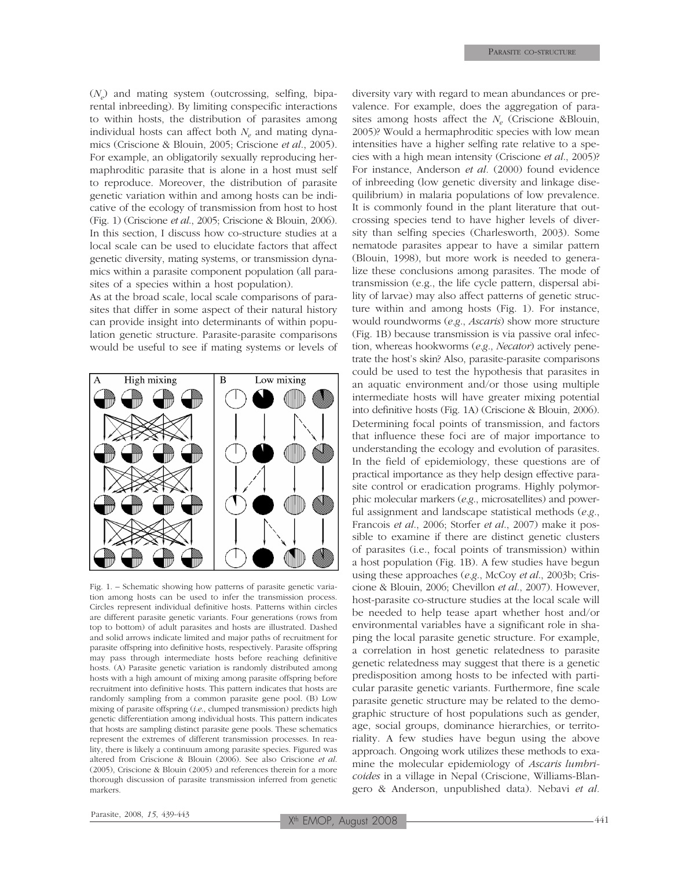$(N_e)$  and mating system (outcrossing, selfing, biparental inbreeding). By limiting conspecific interactions to within hosts, the distribution of parasites among individual hosts can affect both  $N_e$  and mating dynamics (Criscione & Blouin, 2005; Criscione *et al*., 2005). For example, an obligatorily sexually reproducing hermaphroditic parasite that is alone in a host must self to reproduce. Moreover, the distribution of parasite genetic variation within and among hosts can be indicative of the ecology of transmission from host to host (Fig. 1) (Criscione *et al*., 2005; Criscione & Blouin, 2006). In this section, I discuss how co-structure studies at a local scale can be used to elucidate factors that affect genetic diversity, mating systems, or transmission dynamics within a parasite component population (all parasites of a species within a host population).

As at the broad scale, local scale comparisons of parasites that differ in some aspect of their natural history can provide insight into determinants of within population genetic structure. Parasite-parasite comparisons would be useful to see if mating systems or levels of



Fig. 1. – Schematic showing how patterns of parasite genetic variation among hosts can be used to infer the transmission process. Circles represent individual definitive hosts. Patterns within circles are different parasite genetic variants. Four generations (rows from top to bottom) of adult parasites and hosts are illustrated. Dashed and solid arrows indicate limited and major paths of recruitment for parasite offspring into definitive hosts, respectively. Parasite offspring may pass through intermediate hosts before reaching definitive hosts. (A) Parasite genetic variation is randomly distributed among hosts with a high amount of mixing among parasite offspring before recruitment into definitive hosts. This pattern indicates that hosts are randomly sampling from a common parasite gene pool. (B) Low mixing of parasite offspring (*i.e*., clumped transmission) predicts high genetic differentiation among individual hosts. This pattern indicates that hosts are sampling distinct parasite gene pools. These schematics represent the extremes of different transmission processes. In reality, there is likely a continuum among parasite species. Figured was altered from Criscione & Blouin (2006). See also Criscione *et al*. (2005), Criscione & Blouin (2005) and references therein for a more thorough discussion of parasite transmission inferred from genetic markers.

diversity vary with regard to mean abundances or prevalence. For example, does the aggregation of parasites among hosts affect the  $N_e$  (Criscione &Blouin, 2005)? Would a hermaphroditic species with low mean intensities have a higher selfing rate relative to a species with a high mean intensity (Criscione *et al*., 2005)? For instance, Anderson *et al.* (2000) found evidence of inbreeding (low genetic diversity and linkage disequilibrium) in malaria populations of low prevalence. It is commonly found in the plant literature that outcrossing species tend to have higher levels of diversity than selfing species (Charlesworth, 2003). Some nematode parasites appear to have a similar pattern (Blouin, 1998), but more work is needed to generalize these conclusions among parasites. The mode of transmission (e.g., the life cycle pattern, dispersal ability of larvae) may also affect patterns of genetic structure within and among hosts (Fig. 1). For instance, would roundworms (*e.g*., *Ascaris*) show more structure (Fig. 1B) because transmission is via passive oral infection, whereas hookworms (*e.g*., *Necator*) actively penetrate the host's skin? Also, parasite-parasite comparisons could be used to test the hypothesis that parasites in an aquatic environment and/or those using multiple intermediate hosts will have greater mixing potential into definitive hosts (Fig. 1A) (Criscione & Blouin, 2006). Determining focal points of transmission, and factors that influence these foci are of major importance to understanding the ecology and evolution of parasites. In the field of epidemiology, these questions are of practical importance as they help design effective parasite control or eradication programs. Highly polymorphic molecular markers (*e.g*., microsatellites) and powerful assignment and landscape statistical methods (*e.g*., Francois *et al*., 2006; Storfer *et al*., 2007) make it possible to examine if there are distinct genetic clusters of parasites (i.e., focal points of transmission) within a host population (Fig. 1B). A few studies have begun using these approaches (*e.g*., McCoy *et al*., 2003b; Criscione & Blouin, 2006; Chevillon *et al*., 2007). However, host-parasite co-structure studies at the local scale will be needed to help tease apart whether host and/or environmental variables have a significant role in shaping the local parasite genetic structure. For example, a correlation in host genetic relatedness to parasite genetic relatedness may suggest that there is a genetic predisposition among hosts to be infected with particular parasite genetic variants. Furthermore, fine scale parasite genetic structure may be related to the demographic structure of host populations such as gender, age, social groups, dominance hierarchies, or territoriality. A few studies have begun using the above approach. Ongoing work utilizes these methods to examine the molecular epidemiology of *Ascaris lumbricoides* in a village in Nepal (Criscione, Williams-Blangero & Anderson, unpublished data). Nebavi *et al.*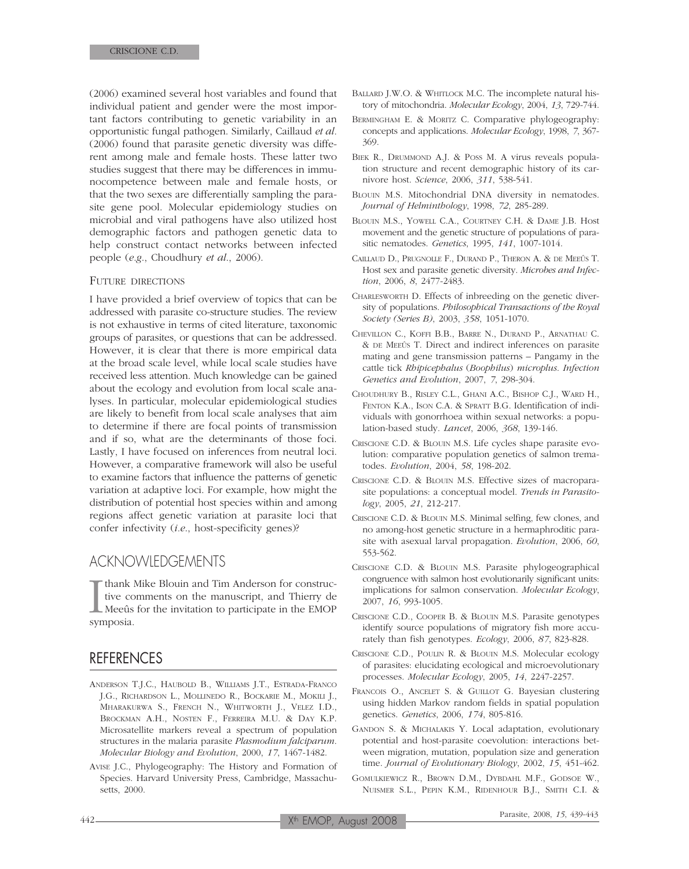(2006) examined several host variables and found that individual patient and gender were the most important factors contributing to genetic variability in an opportunistic fungal pathogen. Similarly, Caillaud *et al.* (2006) found that parasite genetic diversity was different among male and female hosts. These latter two studies suggest that there may be differences in immunocompetence between male and female hosts, or that the two sexes are differentially sampling the parasite gene pool. Molecular epidemiology studies on microbial and viral pathogens have also utilized host demographic factors and pathogen genetic data to help construct contact networks between infected people (*e.g*., Choudhury *et al*., 2006).

#### FUTURE DIRECTIONS

I have provided a brief overview of topics that can be addressed with parasite co-structure studies. The review is not exhaustive in terms of cited literature, taxonomic groups of parasites, or questions that can be addressed. However, it is clear that there is more empirical data at the broad scale level, while local scale studies have received less attention. Much knowledge can be gained about the ecology and evolution from local scale analyses. In particular, molecular epidemiological studies are likely to benefit from local scale analyses that aim to determine if there are focal points of transmission and if so, what are the determinants of those foci. Lastly, I have focused on inferences from neutral loci. However, a comparative framework will also be useful to examine factors that influence the patterns of genetic variation at adaptive loci. For example, how might the distribution of potential host species within and among regions affect genetic variation at parasite loci that confer infectivity (*i.e*., host-specificity genes)?

## ACKNOWLEDGEMENTS

I thank i<br>tive composites<br>symposia. thank Mike Blouin and Tim Anderson for constructive comments on the manuscript, and Thierry de Meeûs for the invitation to participate in the EMOP

### REFERENCES

- ANDERSON T.J.C., HAUBOLD B., WILLIAMS J.T., ESTRADA-FRANCO J.G., RICHARDSON L., MOLLINEDO R., BOCKARIE M., MOKILI J., MHARAKURWA S., FRENCH N., WHITWORTH J., VELEZ I.D., BROCKMAN A.H., NOSTEN F., FERREIRA M.U. & DAY K.P. Microsatellite markers reveal a spectrum of population structures in the malaria parasite *Plasmodium falciparum*. *Molecular Biology and Evolution*, 2000, *17*, 1467-1482.
- AVISE J.C., Phylogeography: The History and Formation of Species. Harvard University Press, Cambridge, Massachusetts, 2000.
- BALLARD J.W.O. & WHITLOCK M.C. The incomplete natural history of mitochondria. *Molecular Ecology*, 2004, *13*, 729-744.
- BERMINGHAM E. & MORITZ C. Comparative phylogeography: concepts and applications. *Molecular Ecology*, 1998, *7*, 367- 369.
- BIEK R., DRUMMOND A.J. & POSS M. A virus reveals population structure and recent demographic history of its carnivore host. *Science*, 2006, *311*, 538-541.
- BLOUIN M.S. Mitochondrial DNA diversity in nematodes. *Journal of Helminthology*, 1998, *72*, 285-289.
- BLOUIN M.S., YOWELL C.A., COURTNEY C.H. & DAME J.B. Host movement and the genetic structure of populations of parasitic nematodes. *Genetics*, 1995, *141*, 1007-1014.
- CAILLAUD D., PRUGNOLLE F., DURAND P., THERON A. & DE MEEÛS T. Host sex and parasite genetic diversity. *Microbes and Infection*, 2006, *8*, 2477-2483.
- CHARLESWORTH D. Effects of inbreeding on the genetic diversity of populations. *Philosophical Transactions of the Royal Society (Series B)*, 2003, *358*, 1051-1070.
- CHEVILLON C., KOFFI B.B., BARRE N., DURAND P., ARNATHAU C. & DE MEEÛS T. Direct and indirect inferences on parasite mating and gene transmission patterns – Pangamy in the cattle tick *Rhipicephalus* (*Boophilus*) *microplus*. *Infection Genetics and Evolution*, 2007, *7*, 298-304.
- CHOUDHURY B., RISLEY C.L., GHANI A.C., BISHOP C.J., WARD H., FENTON K.A., ISON C.A. & SPRATT B.G. Identification of individuals with gonorrhoea within sexual networks: a population-based study. *Lancet*, 2006, *368*, 139-146.
- CRISCIONE C.D. & BLOUIN M.S. Life cycles shape parasite evolution: comparative population genetics of salmon trematodes. *Evolution*, 2004, *58*, 198-202.
- CRISCIONE C.D. & BLOUIN M.S. Effective sizes of macroparasite populations: a conceptual model. *Trends in Parasitology*, 2005, *21*, 212-217.
- CRISCIONE C.D. & BLOUIN M.S. Minimal selfing, few clones, and no among-host genetic structure in a hermaphroditic parasite with asexual larval propagation. *Evolution*, 2006, *60*, 553-562.
- CRISCIONE C.D. & BLOUIN M.S. Parasite phylogeographical congruence with salmon host evolutionarily significant units: implications for salmon conservation. *Molecular Ecology*, 2007, *16*, 993-1005.
- CRISCIONE C.D., COOPER B. & BLOUIN M.S. Parasite genotypes identify source populations of migratory fish more accurately than fish genotypes. *Ecology*, 2006, *87*, 823-828.
- CRISCIONE C.D., POULIN R. & BLOUIN M.S. Molecular ecology of parasites: elucidating ecological and microevolutionary processes. *Molecular Ecology*, 2005, *14*, 2247-2257.
- FRANCOIS O., ANCELET S. & GUILLOT G. Bayesian clustering using hidden Markov random fields in spatial population genetics. *Genetics*, 2006, *174*, 805-816.
- GANDON S. & MICHALAKIS Y. Local adaptation, evolutionary potential and host-parasite coevolution: interactions between migration, mutation, population size and generation time. *Journal of Evolutionary Biology*, 2002, *15*, 451-462.
- GOMULKIEWICZ R., BROWN D.M., DYBDAHL M.F., GODSOE W., NUISMER S.L., PEPIN K.M., RIDENHOUR B.J., SMITH C.I. &